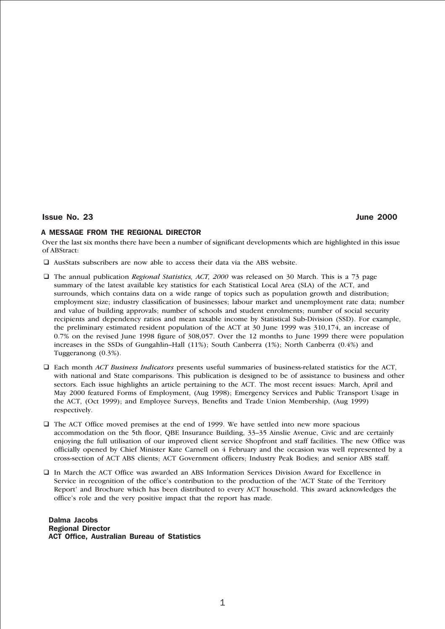### Issue No. 23 June 2000

### A MESSAGE FROM THE REGIONAL DIRECTOR

Over the last six months there have been a number of significant developments which are highlighted in this issue of ABStract:

- $\square$  AusStats subscribers are now able to access their data via the ABS website.
- q The annual publication *Regional Statistics, ACT, 2000* was released on 30 March. This is a 73 page summary of the latest available key statistics for each Statistical Local Area (SLA) of the ACT, and surrounds, which contains data on a wide range of topics such as population growth and distribution; employment size; industry classification of businesses; labour market and unemployment rate data; number and value of building approvals; number of schools and student enrolments; number of social security recipients and dependency ratios and mean taxable income by Statistical Sub-Division (SSD). For example, the preliminary estimated resident population of the ACT at 30 June 1999 was 310,174, an increase of 0.7% on the revised June 1998 figure of 308,057. Over the 12 months to June 1999 there were population increases in the SSDs of Gungahlin–Hall (11%); South Canberra (1%); North Canberra (0.4%) and Tuggeranong (0.3%).
- q Each month *ACT Business Indicators* presents useful summaries of business-related statistics for the ACT, with national and State comparisons. This publication is designed to be of assistance to business and other sectors. Each issue highlights an article pertaining to the ACT. The most recent issues: March, April and May 2000 featured Forms of Employment, (Aug 1998); Emergency Services and Public Transport Usage in the ACT, (Oct 1999); and Employee Surveys, Benefits and Trade Union Membership, (Aug 1999) respectively.
- $\Box$  The ACT Office moved premises at the end of 1999. We have settled into new more spacious accommodation on the 5th floor, QBE Insurance Building, 33–35 Ainslie Avenue, Civic and are certainly enjoying the full utilisation of our improved client service Shopfront and staff facilities. The new Office was officially opened by Chief Minister Kate Carnell on 4 February and the occasion was well represented by a cross-section of ACT ABS clients; ACT Government officers; Industry Peak Bodies; and senior ABS staff.
- q In March the ACT Office was awarded an ABS Information Services Division Award for Excellence in Service in recognition of the office's contribution to the production of the 'ACT State of the Territory Report' and Brochure which has been distributed to every ACT household. This award acknowledges the office's role and the very positive impact that the report has made.

Dalma Jacobs Regional Director ACT Office, Australian Bureau of Statistics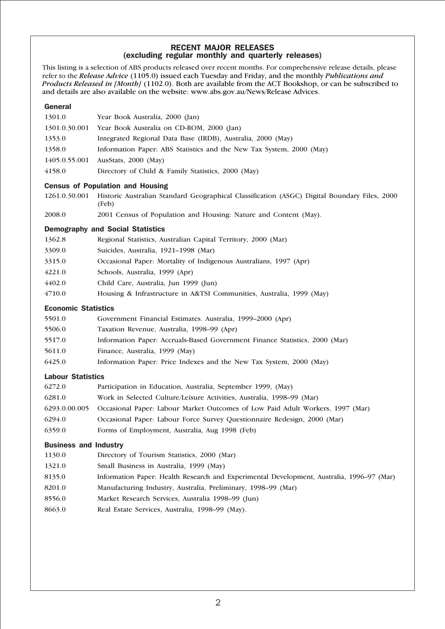## RECENT MAJOR RELEASES (excluding regular monthly and quarterly releases)

This listing is a selection of ABS products released over recent months. For comprehensive release details, please refer to the *Release Advice* (1105.0) issued each Tuesday and Friday, and the monthly *Publications and Products Released in [Month]* (1102.0). Both are available from the ACT Bookshop, or can be subscribed to and details are also available on the website: www.abs.gov.au/News/Release Advices.

### General

| 1301.0                     | Year Book Australia, 2000 (Jan)                                                                       |  |  |  |
|----------------------------|-------------------------------------------------------------------------------------------------------|--|--|--|
| 1301.0.30.001              | Year Book Australia on CD-ROM, 2000 (Jan)                                                             |  |  |  |
| 1353.0                     | Integrated Regional Data Base (IRDB), Australia, 2000 (May)                                           |  |  |  |
| 1358.0                     | Information Paper: ABS Statistics and the New Tax System, 2000 (May)                                  |  |  |  |
| 1405.0.55.001              | AusStats, 2000 (May)                                                                                  |  |  |  |
| 4158.0                     | Directory of Child & Family Statistics, 2000 (May)                                                    |  |  |  |
|                            | <b>Census of Population and Housing</b>                                                               |  |  |  |
| 1261.0.30.001              | Historic Australian Standard Geographical Classification (ASGC) Digital Boundary Files, 2000<br>(Feb) |  |  |  |
| 2008.0                     | 2001 Census of Population and Housing: Nature and Content (May).                                      |  |  |  |
|                            | <b>Demography and Social Statistics</b>                                                               |  |  |  |
| 1362.8                     | Regional Statistics, Australian Capital Territory, 2000 (Mar)                                         |  |  |  |
| 3309.0                     | Suicides, Australia, 1921-1998 (Mar)                                                                  |  |  |  |
| 3315.0                     | Occasional Paper: Mortality of Indigenous Australians, 1997 (Apr)                                     |  |  |  |
| 4221.0                     | Schools, Australia, 1999 (Apr)                                                                        |  |  |  |
| 4402.0                     | Child Care, Australia, Jun 1999 (Jun)                                                                 |  |  |  |
| 4710.0                     | Housing & Infrastructure in A&TSI Communities, Australia, 1999 (May)                                  |  |  |  |
| <b>Economic Statistics</b> |                                                                                                       |  |  |  |
| 5501.0                     | Government Financial Estimates. Australia, 1999–2000 (Apr)                                            |  |  |  |
| 5506.0                     | Taxation Revenue, Australia, 1998–99 (Apr)                                                            |  |  |  |
| 5517.0                     | Information Paper: Accruals-Based Government Finance Statistics, 2000 (Mar)                           |  |  |  |
| 5611.0                     | Finance, Australia, 1999 (May)                                                                        |  |  |  |
| 6425.0                     | Information Paper: Price Indexes and the New Tax System, 2000 (May)                                   |  |  |  |
| <b>Labour Statistics</b>   |                                                                                                       |  |  |  |
| 6272.0                     | Participation in Education, Australia, September 1999, (May)                                          |  |  |  |
| 6281.0                     | Work in Selected Culture/Leisure Activities, Australia, 1998-99 (Mar)                                 |  |  |  |

- 6293.0.00.005 Occasional Paper: Labour Market Outcomes of Low Paid Adult Workers, 1997 (Mar)
- 6294.0 Occasional Paper: Labour Force Survey Questionnaire Redesign, 2000 (Mar)
- 6359.0 Forms of Employment, Australia, Aug 1998 (Feb)

## Business and Industry

| 1130.0 | Directory of Tourism Statistics, 2000 (Mar)                                               |
|--------|-------------------------------------------------------------------------------------------|
| 1321.0 | Small Business in Australia, 1999 (May)                                                   |
| 8135.0 | Information Paper: Health Research and Experimental Development, Australia, 1996–97 (Mar) |
| 8201.0 | Manufacturing Industry, Australia, Preliminary, 1998–99 (Mar)                             |
| 8556.0 | Market Research Services, Australia 1998–99 (Jun)                                         |
| 8663.0 | Real Estate Services, Australia, 1998–99 (May).                                           |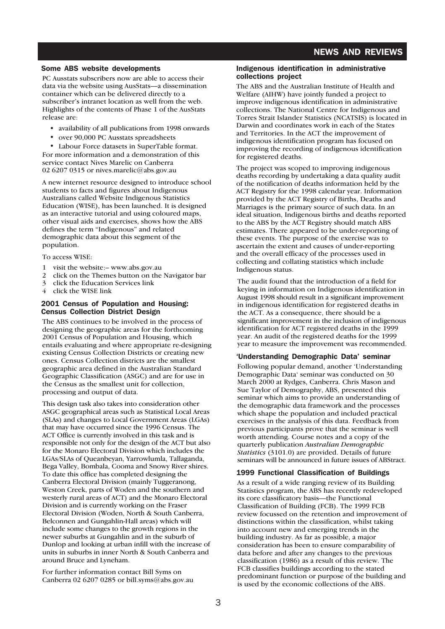## NEWS AND REVIEWS

### Some ABS website developments

PC Ausstats subscribers now are able to access their data via the website using AusStats—a dissemination container which can be delivered directly to a subscriber's intranet location as well from the web. Highlights of the contents of Phase 1 of the AusStats release are:

- availability of all publications from 1998 onwards
- over 90,000 PC Ausstats spreadsheets

Labour Force datasets in SuperTable format. For more information and a demonstration of this service contact Nives Marelic on Canberra 02 6207 0315 or nives.marelic@abs.gov.au

A new internet resource designed to introduce school students to facts and figures about Indigenous Australians called Website Indigenous Statistics Education (WISE), has been launched. It is designed as an interactive tutorial and using coloured maps, other visual aids and exercises, shows how the ABS defines the term "Indigenous" and related demographic data about this segment of the population.

To access WISE:

- 1 visit the website:– www.abs.gov.au
- 2 click on the Themes button on the Navigator bar
- 3 click the Education Services link
- 4 click the WISE link

### 2001 Census of Population and Housing: Census Collection District Design

The ABS continues to be involved in the process of designing the geographic areas for the forthcoming 2001 Census of Population and Housing, which entails evaluating and where appropriate re-designing existing Census Collection Districts or creating new ones. Census Collection districts are the smallest geographic area defined in the Australian Standard Geographic Classification (ASGC) and are for use in the Census as the smallest unit for collection, processing and output of data.

This design task also takes into consideration other ASGC geographical areas such as Statistical Local Areas (SLAs) and changes to Local Government Areas (LGAs) that may have occurred since the 1996 Census. The ACT Office is currently involved in this task and is responsible not only for the design of the ACT but also for the Monaro Electoral Division which includes the LGAs/SLAs of Queanbeyan, Yarrowlumla, Tallaganda, Bega Valley, Bombala, Cooma and Snowy River shires. To date this office has completed designing the Canberra Electoral Division (mainly Tuggeranong, Weston Creek, parts of Woden and the southern and westerly rural areas of ACT) and the Monaro Electoral Division and is currently working on the Fraser Electoral Division (Woden, North & South Canberra, Belconnen and Gungahlin-Hall areas) which will include some changes to the growth regions in the newer suburbs at Gungahlin and in the suburb of Dunlop and looking at urban infill with the increase of units in suburbs in inner North & South Canberra and around Bruce and Lyneham.

For further information contact Bill Syms on Canberra 02 6207 0285 or bill.syms@abs.gov.au

### Indigenous identification in administrative collections project

The ABS and the Australian Institute of Health and Welfare (AIHW) have jointly funded a project to improve indigenous identification in administrative collections. The National Centre for Indigenous and Torres Strait Islander Statistics (NCATSIS) is located in Darwin and coordinates work in each of the States and Territories. In the ACT the improvement of indigenous identification program has focused on improving the recording of indigenous identification for registered deaths.

The project was scoped to improving indigenous deaths recording by undertaking a data quality audit of the notification of deaths information held by the ACT Registry for the 1998 calendar year. Information provided by the ACT Registry of Births, Deaths and Marriages is the primary source of such data. In an ideal situation, Indigenous births and deaths reported to the ABS by the ACT Registry should match ABS estimates. There appeared to be under-reporting of these events. The purpose of the exercise was to ascertain the extent and causes of under-reporting and the overall efficacy of the processes used in collecting and collating statistics which include Indigenous status.

The audit found that the introduction of a field for keying in information on Indigenous identification in August 1998 should result in a significant improvement in indigenous identification for registered deaths in the ACT. As a consequence, there should be a significant improvement in the inclusion of indigenous identification for ACT registered deaths in the 1999 year. An audit of the registered deaths for the 1999 year to measure the improvement was recommended.

### 'Understanding Demographic Data' seminar

Following popular demand, another 'Understanding Demographic Data' seminar was conducted on 30 March 2000 at Rydges, Canberra. Chris Mason and Sue Taylor of Demography, ABS, presented this seminar which aims to provide an understanding of the demographic data framework and the processes which shape the population and included practical exercises in the analysis of this data. Feedback from previous participants prove that the seminar is well worth attending. Course notes and a copy of the quarterly publication *Australian Demographic Statistics* (3101.0) are provided. Details of future seminars will be announced in future issues of ABStract.

## 1999 Functional Classification of Buildings

As a result of a wide ranging review of its Building Statistics program, the ABS has recently redeveloped its core classificatory basis—the Functional Classification of Building (FCB). The 1999 FCB review focussed on the retention and improvement of distinctions within the classification, whilst taking into account new and emerging trends in the building industry. As far as possible, a major consideration has been to ensure comparability of data before and after any changes to the previous classification (1986) as a result of this review. The FCB classifies buildings according to the stated predominant function or purpose of the building and is used by the economic collections of the ABS.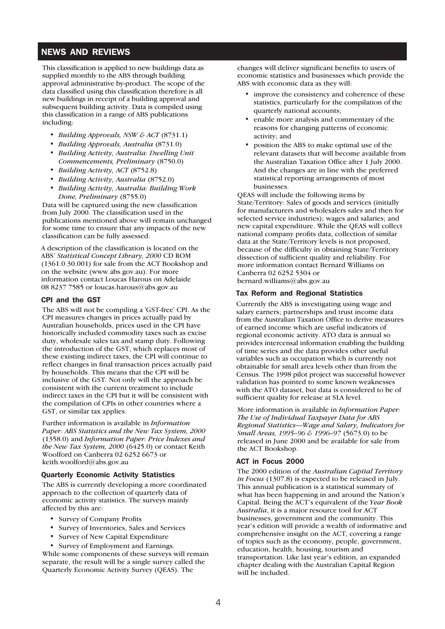# NEWS AND REVIEWS

This classification is applied to new buildings data as supplied monthly to the ABS through building approval administrative by-product. The scope of the data classified using this classification therefore is all new buildings in receipt of a building approval and subsequent building activity. Data is compiled using this classification in a range of ABS publications including:

- *Building Approvals, NSW & ACT* (8731.1)
- *Building Approvals, Australia* (8731.0)
- *Building Activity, Australia: Dwelling Unit Commencements, Preliminary* (8750.0)
- *Building Activity, ACT* (8752.8)
- *Building Activity, Australia* (8752.0)
- *Building Activity, Australia: Building Work Done, Preliminary* (8755.0)

Data will be captured using the new classification from July 2000. The classification used in the publications mentioned above will remain unchanged for some time to ensure that any impacts of the new classification can be fully assessed.

A description of the classification is located on the ABS' *Statistical Concept Library, 2000* CD ROM (1361.0.30.001) for sale from the ACT Bookshop and on the website (www.abs.gov.au). For more information contact Loucas Harous on Adelaide 08 8237 7585 or loucas.harous@abs.gov.au

### CPI and the GST

The ABS will not be compiling a 'GST-free' CPI. As the CPI measures changes in prices actually paid by Australian households, prices used in the CPI have historically included commodity taxes such as excise duty, wholesale sales tax and stamp duty. Following the introduction of the GST, which replaces most of these existing indirect taxes, the CPI will continue to reflect changes in final transaction prices actually paid by households. This means that the CPI will be inclusive of the GST. Not only will the approach be consistent with the current treatment to include indirect taxes in the CPI but it will be consistent with the compilation of CPIs in other countries where a GST, or similar tax applies.

Further information is available in *Information Paper: ABS Statistics and the New Tax System, 2000* (1358.0) and *Information Paper: Price Indexes and the New Tax System, 2000* (6425.0) or contact Keith Woolford on Canberra 02 6252 6673 or keith.woolford@abs.gov.au

### Quarterly Economic Activity Statistics

The ABS is currently developing a more coordinated approach to the collection of quarterly data of economic activity statistics. The surveys mainly affected by this are:

- Survey of Company Profits
- Survey of Inventories, Sales and Services
- Survey of New Capital Expenditure
- Survey of Employment and Earnings.

While some components of these surveys will remain separate, the result will be a single survey called the Quarterly Economic Activity Survey (QEAS). The

changes will deliver significant benefits to users of economic statistics and businesses which provide the ABS with economic data as they will:

- improve the consistency and coherence of these statistics, particularly for the compilation of the quarterly national accounts;
- enable more analysis and commentary of the reasons for changing patterns of economic activity; and
- position the ABS to make optimal use of the relevant datasets that will become available from the Australian Taxation Office after 1 July 2000. And the changes are in line with the preferred statistical reporting arrangements of most businesses.

QEAS will include the following items by State/Territory: Sales of goods and services (initially for manufacturers and wholesalers sales and then for selected service industries); wages and salaries; and new capital expenditure. While the QEAS will collect national company profits data, collection of similar data at the State/Territory levels is not proposed, because of the difficulty in obtaining State/Territory dissection of sufficient quality and reliability. For more information contact Bernard Williams on Canberra 02 6252 5304 or bernard.williams@abs.gov.au

### Tax Reform and Regional Statistics

Currently the ABS is investigating using wage and salary earners; partnerships and trust income data from the Australian Taxation Office to derive measures of earned income which are useful indicators of regional economic activity. ATO data is annual so provides intercensal information enabling the building of time series and the data provides other useful variables such as occupation which is currently not obtainable for small area levels other than from the Census. The 1998 pilot project was successful however validation has pointed to some known weaknesses with the ATO dataset, but data is considered to be of sufficient quality for release at SLA level.

More information is available in *Information Paper: The Use of Individual Taxpayer Data for ABS Regional Statistics—Wage and Salary, Indicators for Small Areas, 1995–96 & 1996–97* (5673.0) to be released in June 2000 and be available for sale from the ACT Bookshop.

### ACT in Focus 2000

The 2000 edition of the *Australian Capital Territory in Focus* (1307.8) is expected to be released in July. This annual publication is a statistical summary of what has been happening in and around the Nation's Capital. Being the ACT's equivalent of the *Year Book Australia*, it is a major resource tool for ACT businesses, government and the community. This year's edition will provide a wealth of informative and comprehensive insight on the ACT, covering a range of topics such as the economy, people, government, education, health, housing, tourism and transportation. Like last year's edition, an expanded chapter dealing with the Australian Capital Region will be included.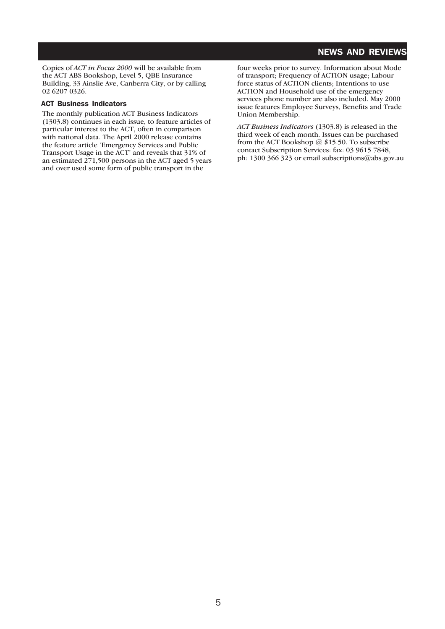# NEWS AND REVIEWS

Copies of *ACT in Focus 2000* will be available from the ACT ABS Bookshop, Level 5, QBE Insurance Building, 33 Ainslie Ave, Canberra City, or by calling 02 6207 0326.

### ACT Business Indicators

The monthly publication ACT Business Indicators (1303.8) continues in each issue, to feature articles of particular interest to the ACT, often in comparison with national data. The April 2000 release contains the feature article 'Emergency Services and Public Transport Usage in the ACT' and reveals that 31% of an estimated 271,500 persons in the ACT aged 5 years and over used some form of public transport in the

four weeks prior to survey. Information about Mode of transport; Frequency of ACTION usage; Labour force status of ACTION clients; Intentions to use ACTION and Household use of the emergency services phone number are also included. May 2000 issue features Employee Surveys, Benefits and Trade Union Membership.

*ACT Business Indicators* (1303.8) is released in the third week of each month. Issues can be purchased from the ACT Bookshop @ \$15.50. To subscribe contact Subscription Services: fax: 03 9615 7848, ph: 1300 366 323 or email subscriptions@abs.gov.au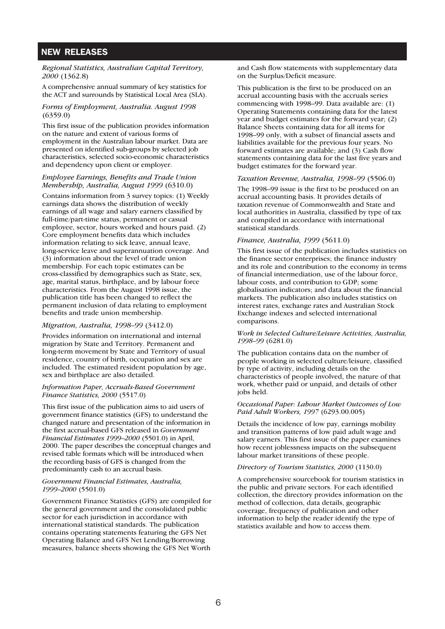## NEW RELEASES

#### *Regional Statistics, Australian Capital Territory, 2000* (1362.8)

A comprehensive annual summary of key statistics for the ACT and surrounds by Statistical Local Area (SLA).

### *Forms of Employment, Australia. August 1998* (6359.0)

This first issue of the publication provides information on the nature and extent of various forms of employment in the Australian labour market. Data are presented on identified sub-groups by selected job characteristics, selected socio-economic characteristics and dependency upon client or employer.

### *Employee Earnings, Benefits and Trade Union Membership, Australia, August 1999* (6310.0)

Contains information from 3 survey topics: (1) Weekly earnings data shows the distribution of weekly earnings of all wage and salary earners classified by full-time/part-time status, permanent or casual employee, sector, hours worked and hours paid. (2) Core employment benefits data which includes information relating to sick leave, annual leave, long-service leave and superannuation coverage. And (3) information about the level of trade union membership. For each topic estimates can be cross-classified by demographics such as State, sex, age, marital status, birthplace, and by labour force characteristics. From the August 1998 issue, the publication title has been changed to reflect the permanent inclusion of data relating to employment benefits and trade union membership.

### *Migration, Australia, 1998–99* (3412.0)

Provides information on international and internal migration by State and Territory. Permanent and long-term movement by State and Territory of usual residence, country of birth, occupation and sex are included. The estimated resident population by age, sex and birthplace are also detailed.

#### *Information Paper, Accruals-Based Government Finance Statistics, 2000* (5517.0)

This first issue of the publication aims to aid users of government finance statistics (GFS) to understand the changed nature and presentation of the information in the first accrual-based GFS released in *Government Financial Estimates 1999–2000* (5501.0) in April, 2000. The paper describes the conceptual changes and revised table formats which will be introduced when the recording basis of GFS is changed from the predominantly cash to an accrual basis.

### *Government Financial Estimates, Australia, 1999–2000* (5501.0)

Government Finance Statistics (GFS) are compiled for the general government and the consolidated public sector for each jurisdiction in accordance with international statistical standards. The publication contains operating statements featuring the GFS Net Operating Balance and GFS Net Lending/Borrowing measures, balance sheets showing the GFS Net Worth

and Cash flow statements with supplementary data on the Surplus/Deficit measure.

This publication is the first to be produced on an accrual accounting basis with the accruals series commencing with 1998–99. Data available are: (1) Operating Statements containing data for the latest year and budget estimates for the forward year; (2) Balance Sheets containing data for all items for 1998–99 only, with a subset of financial assets and liabilities available for the previous four years. No forward estimates are available; and (3) Cash flow statements containing data for the last five years and budget estimates for the forward year.

### *Taxation Revenue, Australia, 1998–99* (5506.0)

The 1998–99 issue is the first to be produced on an accrual accounting basis. It provides details of taxation revenue of Commonwealth and State and local authorities in Australia, classified by type of tax and compiled in accordance with international statistical standards.

### *Finance, Australia, 1999* (5611.0)

This first issue of the publication includes statistics on the finance sector enterprises; the finance industry and its role and contribution to the economy in terms of financial intermediation, use of the labour force, labour costs, and contribution to GDP; some globalisation indicators; and data about the financial markets. The publication also includes statistics on interest rates, exchange rates and Australian Stock Exchange indexes and selected international comparisons.

### *Work in Selected Culture/Leisure Activities, Australia, 1998–99* (6281.0)

The publication contains data on the number of people working in selected culture/leisure, classified by type of activity, including details on the characteristics of people involved, the nature of that work, whether paid or unpaid, and details of other jobs held.

#### *Occasional Paper: Labour Market Outcomes of Low Paid Adult Workers, 1997* (6293.00.005)

Details the incidence of low pay, earnings mobility and transition patterns of low paid adult wage and salary earners. This first issue of the paper examines how recent joblessness impacts on the subsequent labour market transitions of these people.

### *Directory of Tourism Statistics, 2000* (1130.0)

A comprehensive sourcebook for tourism statistics in the public and private sectors. For each identified collection, the directory provides information on the method of collection, data details, geographic coverage, frequency of publication and other information to help the reader identify the type of statistics available and how to access them.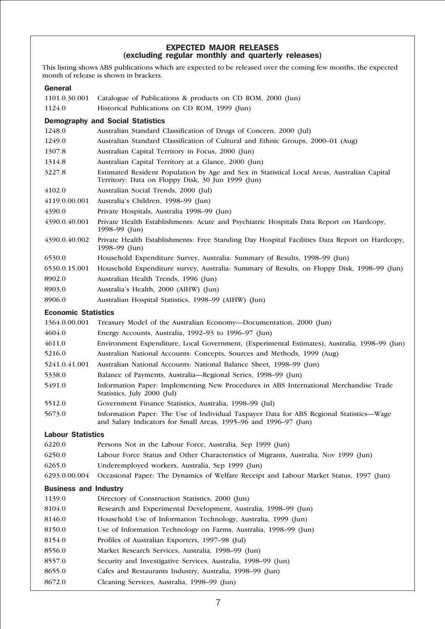## EXPECTED MAJOR RELEASES (excluding regular monthly and quarterly releases)

This listing shows ABS publications which are expected to be released over the coming few months, the expected month of release is shown in brackets.

# General

| 1101.0.30.001                | Catalogue of Publications & products on CD ROM, 2000 (Jun)                                                                                                  |  |  |
|------------------------------|-------------------------------------------------------------------------------------------------------------------------------------------------------------|--|--|
| 1124.0                       | Historical Publications on CD ROM, 1999 (Jun)                                                                                                               |  |  |
|                              | <b>Demography and Social Statistics</b>                                                                                                                     |  |  |
| 1248.0                       | Australian Standard Classification of Drugs of Concern, 2000 (Jul)                                                                                          |  |  |
| 1249.0                       | Australian Standard Classification of Cultural and Ethnic Groups, 2000–01 (Aug)                                                                             |  |  |
| 1307.8                       | Australian Capital Territory in Focus, 2000 (Jun)                                                                                                           |  |  |
| 1314.8                       | Australian Capital Territory at a Glance, 2000 (Jun)                                                                                                        |  |  |
| 3227.8                       | Estimated Resident Population by Age and Sex in Statistical Local Areas, Australian Capital<br>Territory: Data on Floppy Disk, 30 Jun 1999 (Jun)            |  |  |
| 4102.0                       | Australian Social Trends, 2000 (Jul)                                                                                                                        |  |  |
| 4119.0.00.001                | Australia's Children, 1998-99 (Jun)                                                                                                                         |  |  |
| 4390.0                       | Private Hospitals, Australia 1998-99 (Jun)                                                                                                                  |  |  |
| 4390.0.40.001                | Private Health Establishments: Acute and Psychiatric Hospitals Data Report on Hardcopy,<br>1998–99 (Jun)                                                    |  |  |
| 4390.0.40.002                | Private Health Establishments: Free Standing Day Hospital Facilities Data Report on Hardcopy,<br>1998–99 (Jun)                                              |  |  |
| 6530.0                       | Household Expenditure Survey, Australia: Summary of Results, 1998-99 (Jun)                                                                                  |  |  |
| 6530.0.15.001                | Household Expenditure survey, Australia: Summary of Results, on Floppy Disk, 1998–99 (Jun)                                                                  |  |  |
| 8902.0                       | Australian Health Trends, 1996 (Jun)                                                                                                                        |  |  |
| 8903.0                       | Australia's Health, 2000 (AIHW) (Jun)                                                                                                                       |  |  |
| 8906.0                       | Australian Hospital Statistics, 1998-99 (AIHW) (Jun)                                                                                                        |  |  |
| <b>Economic Statistics</b>   |                                                                                                                                                             |  |  |
| 1364.0.00.001                | Treasury Model of the Australian Economy—Documentation, 2000 (Jun)                                                                                          |  |  |
| 4604.0                       | Energy Accounts, Australia, 1992-93 to 1996-97 (Jun)                                                                                                        |  |  |
| 4611.0                       | Environment Expenditure, Local Government, (Experimental Estimates), Australia, 1998-99 (Jun)                                                               |  |  |
| 5216.0                       | Australian National Accounts: Concepts, Sources and Methods, 1999 (Aug)                                                                                     |  |  |
| 5241.0.41.001                | Australian National Accounts: National Balance Sheet, 1998-99 (Jun)                                                                                         |  |  |
| 5338.0                       | Balance of Payments, Australia-Regional Series, 1998-99 (Jun)                                                                                               |  |  |
| 5491.0                       | Information Paper: Implementing New Procedures in ABS International Merchandise Trade<br>Statistics, July 2000 (Jul)                                        |  |  |
| 5512.0                       | Government Finance Statistics, Australia, 1998-99 (Jul)                                                                                                     |  |  |
| 5673.0                       | Information Paper: The Use of Individual Taxpayer Data for ABS Regional Statistics-Wage<br>and Salary Indicators for Small Areas, 1995-96 and 1996-97 (Jun) |  |  |
| <b>Labour Statistics</b>     |                                                                                                                                                             |  |  |
| 6220.0                       | Persons Not in the Labour Force, Australia, Sep 1999 (Jun)                                                                                                  |  |  |
| 6250.0                       | Labour Force Status and Other Characteristics of Migrants, Australia, Nov 1999 (Jun)                                                                        |  |  |
| 6265.0                       | Underemployed workers, Australia, Sep 1999 (Jun)                                                                                                            |  |  |
| 6293.0.00.004                | Occasional Paper: The Dynamics of Welfare Receipt and Labour Market Status, 1997 (Jun)                                                                      |  |  |
| <b>Business and Industry</b> |                                                                                                                                                             |  |  |
| 1139.0                       | Directory of Construction Statistics, 2000 (Jun)                                                                                                            |  |  |
| 8104.0                       | Research and Experimental Development, Australia, 1998-99 (Jun)                                                                                             |  |  |
| 8146.0                       | Household Use of Information Technology, Australia, 1999 (Jun)                                                                                              |  |  |
| 8150.0                       | Use of Information Technology on Farms, Australia, 1998-99 (Jun)                                                                                            |  |  |
| 8154.0                       | Profiles of Australian Exporters, 1997-98 (Jul)                                                                                                             |  |  |
| 8556.0                       | Market Research Services, Australia, 1998-99 (Jun)                                                                                                          |  |  |
| 8557.0                       | Security and Investigative Services, Australia, 1998–99 (Jun)                                                                                               |  |  |
| 8655.0                       | Cafes and Restaurants Industry, Australia, 1998-99 (Jun)                                                                                                    |  |  |
| 8672.0                       | Cleaning Services, Australia, 1998-99 (Jun)                                                                                                                 |  |  |
|                              |                                                                                                                                                             |  |  |